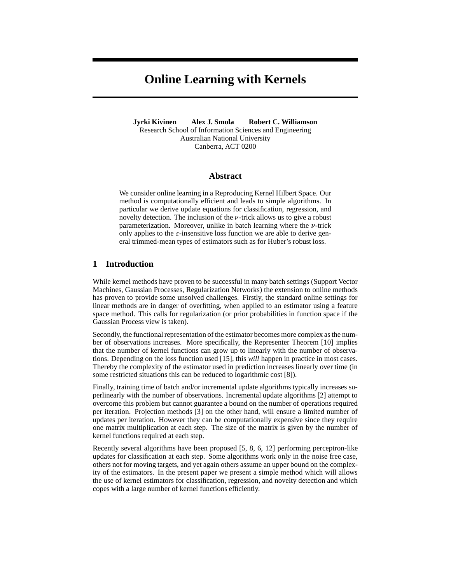# **Online Learning with Kernels**

**Jyrki Kivinen Alex J. Smola Robert C. Williamson** Research School of Information Sciences and Engineering Australian National University Canberra, ACT 0200

## **Abstract**

We consider online learning in a Reproducing Kernel Hilbert Space. Our method is computationally efficient and leads to simple algorithms. In particular we derive update equations for classification, regression, and novelty detection. The inclusion of the  $\nu$ -trick allows us to give a robust parameterization. Moreover, unlike in batch learning where the  $\nu$ -trick only applies to the  $\varepsilon$ -insensitive loss function we are able to derive general trimmed-mean types of estimators such as for Huber's robust loss.

## **1 Introduction**

While kernel methods have proven to be successful in many batch settings (Support Vector Machines, Gaussian Processes, Regularization Networks) the extension to online methods has proven to provide some unsolved challenges. Firstly, the standard online settings for linear methods are in danger of overfitting, when applied to an estimator using a feature space method. This calls for regularization (or prior probabilities in function space if the Gaussian Process view is taken).

Secondly, the functional representation of the estimator becomes more complex as the number of observations increases. More specifically, the Representer Theorem [10] implies that the number of kernel functions can grow up to linearly with the number of observations. Depending on the loss function used [15], this *will* happen in practice in most cases. Thereby the complexity of the estimator used in prediction increases linearly over time (in some restricted situations this can be reduced to logarithmic cost [8]).

Finally, training time of batch and/or incremental update algorithms typically increases superlinearly with the number of observations. Incremental update algorithms [2] attempt to overcome this problem but cannot guarantee a bound on the number of operations required per iteration. Projection methods [3] on the other hand, will ensure a limited number of updates per iteration. However they can be computationally expensive since they require one matrix multiplication at each step. The size of the matrix is given by the number of kernel functions required at each step.

Recently several algorithms have been proposed [5, 8, 6, 12] performing perceptron-like updates for classification at each step. Some algorithms work only in the noise free case, others not for moving targets, and yet again others assume an upper bound on the complexity of the estimators. In the present paper we present a simple method which will allows the use of kernel estimators for classification, regression, and novelty detection and which copes with a large number of kernel functions efficiently.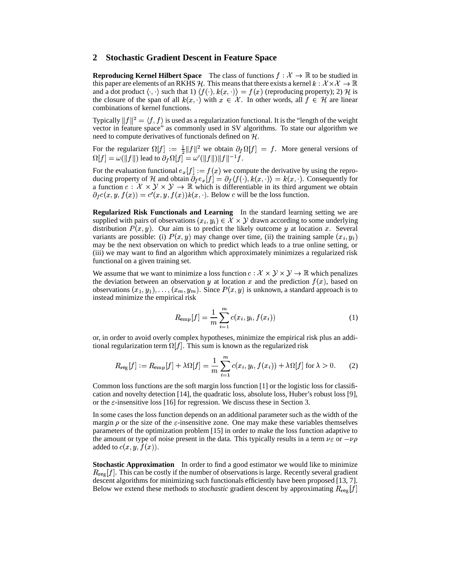## **2 Stochastic Gradient Descent in Feature Space**

**Reproducing Kernel Hilbert Space** The class of functions  $f: \mathcal{X} \to \mathbb{R}$  to be studied in this paper are elements of an RKHS H. This means that there exists a kernel  $k : \mathcal{X} \times \mathcal{X} \rightarrow \mathcal{X}$ and a dot product  $\langle \cdot, \cdot \rangle$  such that  $1$   $\langle f(\cdot), k(x, \cdot) \rangle = f(x)$  (reproducing property); 2) H is the closure of the span of all  $k(x, \cdot)$  with  $x \in \mathcal{X}$ . In other words, all  $f \in \mathcal{H}$  are linear combinations of kernel functions.

Typically  $||f||^2 = \langle f, f \rangle$  is used as a regularization functional. It is the "length of the weight vector in feature space" as commonly used in SV algorithms. To state our algorithm we need to compute derivatives of functionals defined on  $H$ .

For the regularizer  $\Omega[f] := \frac{1}{2} ||f||^2$  we obtain  $\partial_f \Omega[f] = f$ . More general versions of  $\Omega[f]=\omega(\|f\|)$  lead to  $\partial_f\Omega[f]=\omega'(\|f\|)\|f\|^{-1}f.$ 

For the evaluation functional  $e_x[f] := f(x)$  we compute the derivative by using the reproducing property of H and obtain  $\partial_f e_x[f] = \partial_f \langle f(\cdot), k(x, \cdot) \rangle = k(x, \cdot)$ . Consequently for a function  $c: \mathcal{X} \times \mathcal{Y} \times \mathcal{Y} \to \mathbb{R}$  which is differentiable in its third argument we obtain  $\partial_f c(x, y, f(x)) = c'(x, y, f(x))k(x, \cdot)$ . Below c will be the loss function.

**Regularized Risk Functionals and Learning** In the standard learning setting we are supplied with pairs of observations  $(x_i, y_i) \in \mathcal{X} \times \mathcal{Y}$  drawn according to some underlying distribution  $P(x, y)$ . Our aim is to predict the likely outcome y at location x. Several variants are possible: (i)  $P(x, y)$  may change over time, (ii) the training sample  $(x_i, y_i)$ may be the next observation on which to predict which leads to a true online setting, or (iii) we may want to find an algorithm which approximately minimizes a regularized risk functional on a given training set.

We assume that we want to minimize a loss function  $c: \mathcal{X} \times \mathcal{Y} \times \mathcal{Y} \to \mathbb{R}$  which penalizes the deviation between an observation y at location x and the prediction  $f(x)$ , based on observations  $(x_1, y_1), \ldots, (x_m, y_m)$ . Since  $P(x, y)$  is unknown, a standard approach is to instead minimize the empirical risk

$$
R_{\text{emp}}[f] = \frac{1}{m} \sum_{i=1}^{m} c(x_i, y_i, f(x_i))
$$
 (1)

or, in order to avoid overly complex hypotheses, minimize the empirical risk plus an additional regularization term  $\Omega[f]$ . This sum is known as the regularized risk

$$
R_{\text{reg}}[f] := R_{\text{emp}}[f] + \lambda \Omega[f] = \frac{1}{m} \sum_{i=1}^{m} c(x_i, y_i, f(x_i)) + \lambda \Omega[f] \text{ for } \lambda > 0. \tag{2}
$$

Common loss functions are the soft margin loss function [1] or the logistic loss for classification and novelty detection [14], the quadratic loss, absolute loss, Huber's robust loss [9], or the  $\varepsilon$ -insensitive loss [16] for regression. We discuss these in Section 3.

In some cases the loss function depends on an additional parameter such as the width of the margin  $\rho$  or the size of the  $\varepsilon$ -insensitive zone. One may make these variables themselves parameters of the optimization problem [15] in order to make the loss function adaptive to the amount or type of noise present in the data. This typically results in a term  $\nu \varepsilon$  or  $-\nu \rho$ added to  $c(x,y,f(x))$ .

**Stochastic Approximation** In order to find a good estimator we would like to minimize  $R_{\text{reg}}[f]$ . This can be costly if the number of observations is large. Recently several gradient descent algorithms for minimizing such functionals efficiently have been proposed [13, 7]. Below we extend these methods to *stochastic* gradient descent by approximating  $R_{\text{reg}}[f]$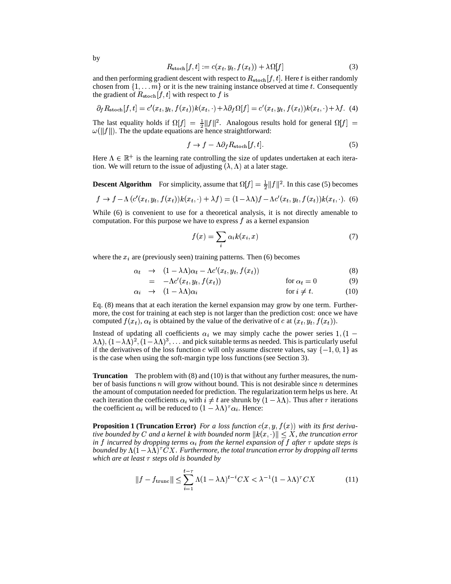$$
R_{\text{stoch}}[f, t] := c(x_t, y_t, f(x_t)) + \lambda \Omega[f] \tag{3}
$$

and then performing gradient descent with respect to  $R_{\rm stoch}[f, t]$ . Here t is either randomly chosen from  $\{1, \ldots m\}$  or it is the new training instance observed at time t. Consequently the gradient of  $R_{\rm stoch}[f, t]$  with respect to f is

$$
\partial_f R_{\text{stoch}}[f, t] = c'(x_t, y_t, f(x_t))k(x_t, \cdot) + \lambda \partial_f \Omega[f] = c'(x_t, y_t, f(x_t))k(x_t, \cdot) + \lambda f. \tag{4}
$$

The last equality holds if  $\Omega[f] = \frac{1}{2} ||f||^2$ . Analogous results hold for general  $\Omega[f] =$  $\omega(\Vert f \Vert)$ . The the update equations are hence straightforward:

$$
f \to f - \Lambda \partial_f R_{\rm stoch}[f, t]. \tag{5}
$$

Here  $\Lambda \in \mathbb{R}^+$  is the learning rate controlling the size of updates undertaken at each iteration. We will return to the issue of adjusting  $(\lambda, \Lambda)$  at a later stage.

**Descent Algorithm** For simplicity, assume that  $\Omega[f] = \frac{1}{2} ||f||^2$ . In this case (5) becomes  $\sqrt{12}$ 

$$
f \rightarrow f - \Lambda \left( c'(x_t, y_t, f(x_t)) k(x_t, \cdot) + \lambda f \right) = (1 - \lambda \Lambda) f - \Lambda c'(x_t, y_t, f(x_t)) k(x_t, \cdot). \tag{6}
$$

While (6) is convenient to use for a theoretical analysis, it is not directly amenable to computation. For this purpose we have to express  $f$  as a kernel expansion

$$
f(x) = \sum_{i} \alpha_i k(x_i, x) \tag{7}
$$

where the  $x_i$  are (previously seen) training patterns. Then (6) becomes

$$
\alpha_t \rightarrow (1 - \lambda \Lambda) \alpha_t - \Lambda c'(x_t, y_t, f(x_t)) \tag{8}
$$

$$
= -\Lambda c'(x_t, y_t, f(x_t)) \qquad \text{for } \alpha_t = 0 \tag{9}
$$

$$
\alpha_i \rightarrow (1 - \lambda \Lambda) \alpha_i \qquad \qquad \text{for } i \neq t. \tag{10}
$$

Eq. (8) means that at each iteration the kernel expansion may grow by one term. Furthermore, the cost for training at each step is not larger than the prediction cost: once we have computed  $f(x_t)$ ,  $\alpha_t$  is obtained by the value of the derivative of c at  $(x_t, y_t, f(x_t))$ .

Instead of updating all coefficients  $\alpha_i$  we may simply cache the power series 1, (1 –  $(\lambda \Lambda), (1-\lambda \Lambda)^2, (1-\lambda \Lambda)^3, \ldots$  and pick suitable terms as needed. This is particularly useful if the derivatives of the loss function c will only assume discrete values, say  $\{-1,0,1\}$  as is the case when using the soft-margin type loss functions (see Section 3).

**Truncation** The problem with (8) and (10) is that without any further measures, the number of basis functions  $\eta$  will grow without bound. This is not desirable since  $\eta$  determines the amount of computation needed for prediction. The regularization term helps us here. At each iteration the coefficients  $\alpha_i$  with  $i \neq t$  are shrunk by  $(1 - \lambda \Lambda)$ . Thus after  $\tau$  iterations the coefficient  $\alpha_i$  will be reduced to  $(1 - \lambda \Lambda)^\tau \alpha_i$ . Hence:

**Proposition 1 (Truncation Error)** For a loss function  $c(x, y, f(x))$  with its first derivative bounded by  $C$  and a kernel  $k$  with bounded norm  $\| k(x, \cdot) \| \leq X$ , the truncation error *in* f incurred by dropping terms  $\alpha_i$  from the kernel expansion of f after  $\tau$  update steps is bounded by  $\Lambda(1-\lambda\Lambda)^{\tau}CX.$  Furthermore, the total truncation error by dropping all terms *which are at least*  $\tau$  *steps old is bounded by* 

$$
||f - f_{\text{trunc}}|| \le \sum_{i=1}^{t-\tau} \Lambda (1 - \lambda \Lambda)^{t-i} C X < \lambda^{-1} (1 - \lambda \Lambda)^{\tau} C X
$$
 (11)

by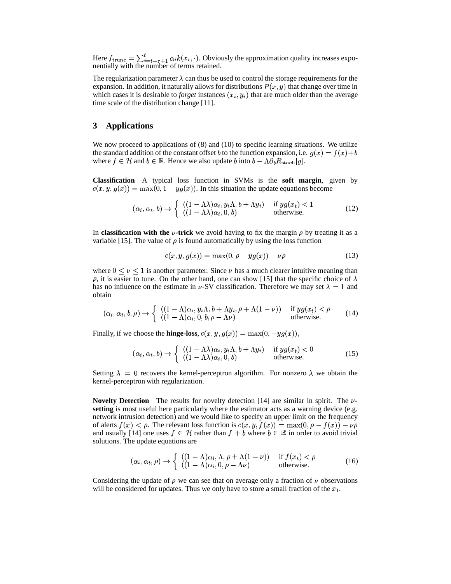Here  $f_{\text{trunc}} = \sum_{i=t-\tau+1}^{t} \alpha_i k(x_i, \cdot)$ . Ob  $ik(x_i, \cdot)$ . Obviously the approximation quality increases exponentially with the number of terms retained.

The regularization parameter  $\lambda$  can thus be used to control the storage requirements for the expansion. In addition, it naturally allows for distributions  $P(x,y)$  that change over time in which cases it is desirable to *forget* instances  $(x<sub>i</sub>, y<sub>i</sub>)$  that are much older than the average time scale of the distribution change [11].

## **3 Applications**

We now proceed to applications of  $(8)$  and  $(10)$  to specific learning situations. We utilize the standard addition of the constant offset b to the function expansion, i.e.  $g(x) = f(x) + b$ where  $f \in \mathcal{H}$  and  $b \in \mathbb{R}$ . Hence we also update b into  $b - \Lambda \partial_b R_{\rm stoch}[g]$ .

**Classification** A typical loss function in SVMs is the **soft margin**, given by  $c(x, y, g(x)) = \max(0, 1 - yg(x))$ . In this situation the update equations become

$$
(\alpha_i, \alpha_t, b) \rightarrow \begin{cases} ((1 - \Lambda \lambda)\alpha_i, y_i \Lambda, b + \Lambda y_i) & \text{if } y g(x_t) < 1 \\ ((1 - \Lambda \lambda)\alpha_i, 0, b) & \text{otherwise.} \end{cases}
$$
(12)

In **classification with the**  $\nu$ -trick we avoid having to fix the margin  $\rho$  by treating it as a variable [15]. The value of  $\rho$  is found automatically by using the loss function

$$
c(x, y, g(x)) = \max(0, \rho - yg(x)) - \nu \rho \tag{13}
$$

where  $0 \le \nu \le 1$  is another parameter. Since  $\nu$  has a much clearer intuitive meaning than  $\rho$ , it is easier to tune. On the other hand, one can show [15] that the specific choice of  $\lambda$ has no influence on the estimate in  $\nu$ -SV classification. Therefore we may set  $\lambda = 1$  and obtain

$$
(\alpha_i, \alpha_t, b, \rho) \rightarrow \begin{cases} ((1 - \Lambda)\alpha_i, y_i\Lambda, b + \Lambda y_i, \rho + \Lambda(1 - \nu)) & \text{if } yg(x_t) < \rho \\ ((1 - \Lambda)\alpha_i, 0, b, \rho - \Lambda\nu) & \text{otherwise.} \end{cases}
$$
(14)

Finally, if we choose the **hinge-loss**,  $c(x, y, g(x)) = \max(0, -yg(x)),$ 

$$
(\alpha_i, \alpha_t, b) \rightarrow \begin{cases} ((1 - \Lambda \lambda) \alpha_i, y_i \Lambda, b + \Lambda y_i) & \text{if } y g(x_t) < 0 \\ ((1 - \Lambda \lambda) \alpha_i, 0, b) & \text{otherwise.} \end{cases}
$$
(15)

Setting  $\lambda = 0$  recovers the kernel-perceptron algorithm. For nonzero  $\lambda$  we obtain the kernel-perceptron with regularization.

**Novelty Detection** The results for novelty detection [14] are similar in spirit. The  $\nu$ **setting** is most useful here particularly where the estimator acts as a warning device (e.g. network intrusion detection) and we would like to specify an upper limit on the frequency of alerts  $f(x) < \rho$ . The relevant loss function is  $c(x, y, f(x)) = \max(0, \rho - f(x)) - \nu \rho$ and usually [14] one uses  $f \in \mathcal{H}$  rather than  $f + b$  where  $b \in \mathbb{R}$  in order to avoid trivial solutions. The update equations are

$$
(\alpha_i, \alpha_t, \rho) \rightarrow \begin{cases} ((1 - \Lambda)\alpha_i, \Lambda, \rho + \Lambda(1 - \nu)) & \text{if } f(x_t) < \rho \\ ((1 - \Lambda)\alpha_i, 0, \rho - \Lambda\nu) & \text{otherwise.} \end{cases}
$$
(16)

Considering the update of  $\rho$  we can see that on average only a fraction of  $\nu$  observations will be considered for updates. Thus we only have to store a small fraction of the  $x_i$ .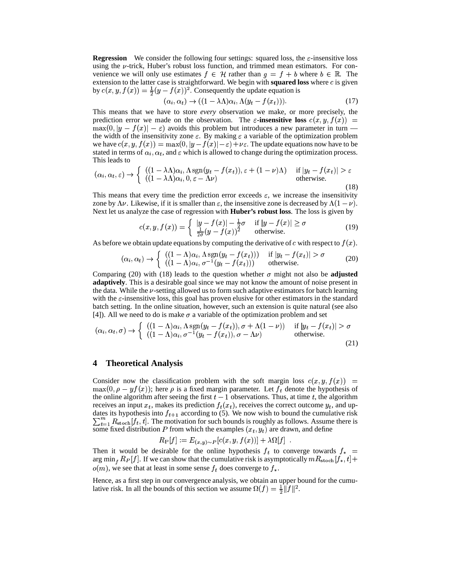**Regression** We consider the following four settings: squared loss, the  $\varepsilon$ -insensitive loss using the  $\nu$ -trick, Huber's robust loss function, and trimmed mean estimators. For convenience we will only use estimates  $f \in \mathcal{H}$  rather than  $g = f + b$  where  $b \in \mathbb{R}$ . The extension to the latter case is straightforward. We begin with **squared loss** where  $c$  is given by  $c(x, y, f(x)) = \frac{1}{2}(y - f(x))^2$ . Consequently the update equation is

$$
(\alpha_i, \alpha_t) \to ((1 - \lambda \Lambda)\alpha_i, \Lambda(y_t - f(x_t))). \tag{17}
$$

This means that we have to store *every* observation we make, or more precisely, the prediction error we made on the observation. The  $\varepsilon$ -insensitive loss  $c(x, y, f(x)) =$  $\max(0, |y - f(x)| - \varepsilon)$  avoids this problem but introduces a new parameter in turn the width of the insensitivity zone  $\varepsilon$ . By making  $\varepsilon$  a variable of the optimization problem we have  $c(x, y, f(x)) = \max(0, |y - f(x)| - \varepsilon) + \nu \varepsilon$ . The update equations now have to be stated in terms of  $\alpha_i, \alpha_t$ , and  $\varepsilon$  which is allowed to change during the optimization process. This leads to

$$
(\alpha_i, \alpha_t, \varepsilon) \to \begin{cases} ((1 - \lambda \Lambda)\alpha_i, \Lambda \operatorname{sgn}(y_t - f(x_t)), \varepsilon + (1 - \nu)\Lambda) & \text{if } |y_t - f(x_t)| > \varepsilon \\ ((1 - \lambda \Lambda)\alpha_i, 0, \varepsilon - \Lambda \nu) & \text{otherwise.} \end{cases}
$$
(18)

This means that every time the prediction error exceeds  $\varepsilon$ , we increase the insensitivity zone by  $\Lambda \nu$ . Likewise, if it is smaller than  $\varepsilon$ , the insensitive zone is decreased by  $\Lambda (1-\nu)$ . Next let us analyze the case of regression with **Huber's robust loss**. The loss is given by

$$
c(x, y, f(x)) = \begin{cases} |y - f(x)| - \frac{1}{2}\sigma & \text{if } |y - f(x)| \ge \sigma \\ \frac{1}{2\sigma}(y - f(x))^2 & \text{otherwise.} \end{cases}
$$
(19)

As before we obtain update equations by computing the derivative of c with respect to  $f(x)$ .

$$
(\alpha_i, \alpha_t) \rightarrow \begin{cases} ((1 - \Lambda)\alpha_i, \Lambda \operatorname{sgn}(y_t - f(x_t))) & \text{if } |y_t - f(x_t)| > \sigma \\ ((1 - \Lambda)\alpha_i, \sigma^{-1}(y_t - f(x_t))) & \text{otherwise.} \end{cases}
$$
(20)

Comparing (20) with (18) leads to the question whether  $\sigma$  might not also be **adjusted adaptively**. This is a desirable goal since we may not know the amount of noise present in the data. While the  $\nu$ -setting allowed us to form such adaptive estimators for batch learning with the  $\varepsilon$ -insensitive loss, this goal has proven elusive for other estimators in the standard batch setting. In the online situation, however, such an extension is quite natural (see also [4]). All we need to do is make  $\sigma$  a variable of the optimization problem and set

$$
(\alpha_i, \alpha_t, \sigma) \rightarrow \begin{cases} ((1 - \Lambda)\alpha_i, \Lambda \operatorname{sgn}(y_t - f(x_t)), \sigma + \Lambda(1 - \nu)) & \text{if } |y_t - f(x_t)| > \sigma \\ ((1 - \Lambda)\alpha_i, \sigma^{-1}(y_t - f(x_t)), \sigma - \Lambda \nu) & \text{otherwise.} \end{cases}
$$
(21)

## **4 Theoretical Analysis**

Consider now the classification problem with the soft margin loss  $c(x, y, f(x)) =$  $max(0, \rho - yf(x))$ ; here  $\rho$  is a fixed margin parameter. Let  $f_t$  denote the hypothesis of the online algorithm after seeing the first  $t-1$  observations. Thus, at time t, the algorithm receives an input  $x_t$ , makes its prediction  $f_t(x_t)$ , receives the correct outcome  $y_t$ , and updates its hypothesis into  $f_{t+1}$  according to (5). We now wish to bound the cumulative risk  $\frac{m}{t-1}R_{\text{stoch}}[f_t, t]$ . The motivation for such bounds is roughly as follows. Assume there is some fixed distribution P from which the examples  $(x_t, y_t)$  are drawn, and define

$$
R_{\rm P}[f] := E_{(x,y)\sim P}[c(x,y,f(x))] + \lambda \Omega[f] .
$$

Then it would be desirable for the online hypothesis  $f_t$  to converge towards  $f_*$  = arg min<sub>f</sub>  $R_P[f]$ . If we can show that the cumulative risk is asymptotically  $mR_{\rm stoch}[f^*,t]$  +  $o(m)$ , we see that at least in some sense  $f_t$  does converge to  $f_*$ .

Hence, as a first step in our convergence analysis, we obtain an upper bound for the cumulative risk. In all the bounds of this section we assume  $\Omega(f) = \frac{1}{2} ||f||^2$ .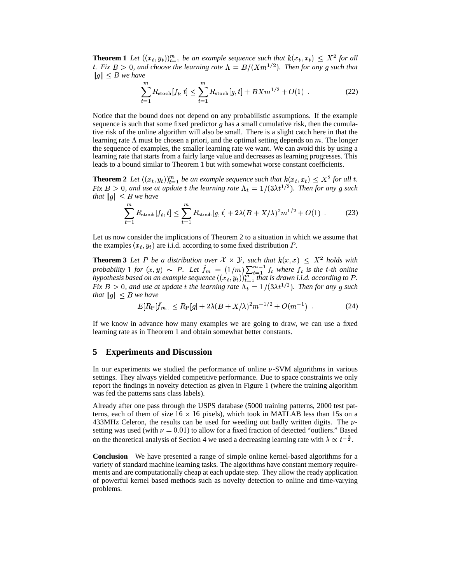**Theorem 1** Let  $((x_t, y_t))_{t=1}^m$  be an example sequence such that  $k(x_t, x_t) \leq X^2$  for all t. Fix  $B > 0$ , and choose the learning rate  $\Lambda = B/(Xm^{1/2})$ . Then for any g such that  $||g|| < B$  we have

$$
\sum_{t=1}^{m} R_{\text{stoch}}[f_t, t] \le \sum_{t=1}^{m} R_{\text{stoch}}[g, t] + BXm^{1/2} + O(1) \tag{22}
$$

Notice that the bound does not depend on any probabilistic assumptions. If the example sequence is such that some fixed predictor  $q$  has a small cumulative risk, then the cumulative risk of the online algorithm will also be small. There is a slight catch here in that the learning rate  $\Lambda$  must be chosen a priori, and the optimal setting depends on  $m$ . The longer the sequence of examples, the smaller learning rate we want. We can avoid this by using a learning rate that starts from a fairly large value and decreases as learning progresses. This leads to a bound similar to Theorem 1 but with somewhat worse constant coefficients.

**Theorem 2** Let  $((x_t, y_t))_{t=1}^m$  be an example sequence such that  $k(x_t, x_t) \leq X^2$  for all t. Fix  $B > 0$ , and use at update t the learning rate  $\Lambda_t = 1/(3\lambda t^{1/2})$ . Then for any g such *that*  $||g|| \leq B$  we have

$$
\sum_{t=1}^{m} R_{\text{stoch}}[f_t, t] \le \sum_{t=1}^{m} R_{\text{stoch}}[g, t] + 2\lambda (B + X/\lambda)^2 m^{1/2} + O(1) \tag{23}
$$

Let us now consider the implications of Theorem 2 to a situation in which we assume that the examples  $(x_t, y_t)$  are i.i.d. according to some fixed distribution P.

**Theorem 3** Let P be a distribution over  $\mathcal{X} \times \mathcal{Y}$ , such that  $k(x,x) \leq X^2$  holds with probability 1 for  $(x, y) \sim P$ . Let  $\hat{f}_m = (1/m) \sum_{t=1}^{m-1} f_t$  where  $f_t$  is the t-th online hypothesis based on an example sequence  $((x_t, y_t))_{t=1}^m$  that is drawn i.i.d. according to P. Fix  $B > 0$ , and use at update t the learning rate  $\Lambda_t = 1/(3\lambda t^{1/2})$ . Then for any g such *that*  $||g|| \leq B$  *we have* 

$$
E[R_{\rm P}[\hat{f}_m]] \le R_{\rm P}[g] + 2\lambda (B + X/\lambda)^2 m^{-1/2} + O(m^{-1}) \tag{24}
$$

If we know in advance how many examples we are going to draw, we can use a fixed learning rate as in Theorem 1 and obtain somewhat better constants.

## **5 Experiments and Discussion**

In our experiments we studied the performance of online  $\nu$ -SVM algorithms in various settings. They always yielded competitive performance. Due to space constraints we only report the findings in novelty detection as given in Figure 1 (where the training algorithm was fed the patterns sans class labels).

Already after one pass through the USPS database (5000 training patterns, 2000 test patterns, each of them of size  $16 \times 16$  pixels), which took in MATLAB less than 15s on a 433MHz Celeron, the results can be used for weeding out badly written digits. The  $\nu$ setting was used (with  $\nu = 0.01$ ) to allow for a fixed fraction of detected "outliers." Based on the theoretical analysis of Section 4 we used a decreasing learning rate with  $\lambda \propto t^{-\frac{1}{2}}$ .

**Conclusion** We have presented a range of simple online kernel-based algorithms for a variety of standard machine learning tasks. The algorithms have constant memory requirements and are computationally cheap at each update step. They allow the ready application of powerful kernel based methods such as novelty detection to online and time-varying problems.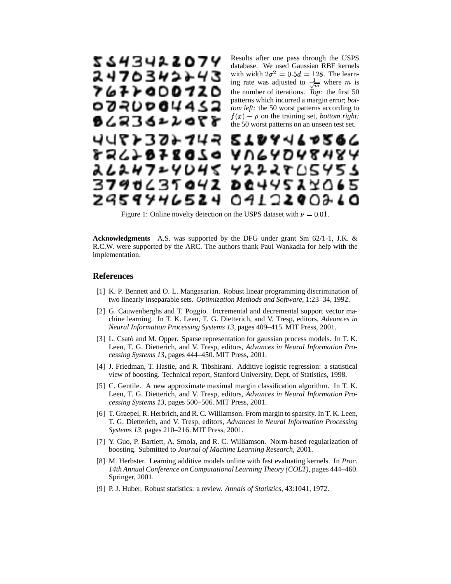

Figure 1: Online novelty detection on the USPS dataset with  $\nu = 0.01$ .

**Acknowledgments** A.S. was supported by the DFG under grant Sm 62/1-1, J.K. & R.C.W. were supported by the ARC. The authors thank Paul Wankadia for help with the implementation.

#### **References**

- [1] K. P. Bennett and O. L. Mangasarian. Robust linear programming discrimination of two linearly inseparable sets. *Optimization Methods and Software*, 1:23–34, 1992.
- [2] G. Cauwenberghs and T. Poggio. Incremental and decremental support vector machine learning. In T. K. Leen, T. G. Dietterich, and V. Tresp, editors, *Advances in Neural Information Processing Systems 13*, pages 409–415. MIT Press, 2001.
- [3] L. Csató and M. Opper. Sparse representation for gaussian process models. In T. K. Leen, T. G. Dietterich, and V. Tresp, editors, *Advances in Neural Information Processing Systems 13*, pages 444–450. MIT Press, 2001.
- [4] J. Friedman, T. Hastie, and R. Tibshirani. Additive logistic regression: a statistical view of boosting. Technical report, Stanford University, Dept. of Statistics, 1998.
- [5] C. Gentile. A new approximate maximal margin classification algorithm. In T. K. Leen, T. G. Dietterich, and V. Tresp, editors, *Advances in Neural Information Processing Systems 13*, pages 500–506. MIT Press, 2001.
- [6] T. Graepel, R. Herbrich, and R. C. Williamson. From margin to sparsity. In T. K. Leen, T. G. Dietterich, and V. Tresp, editors, *Advances in Neural Information Processing Systems 13*, pages 210–216. MIT Press, 2001.
- [7] Y. Guo, P. Bartlett, A. Smola, and R. C. Williamson. Norm-based regularization of boosting. Submitted to *Journal of Machine Learning Research*, 2001.
- [8] M. Herbster. Learning additive models online with fast evaluating kernels. In *Proc. 14th Annual Conference on Computational Learning Theory (COLT)*, pages 444–460. Springer, 2001.
- [9] P. J. Huber. Robust statistics: a review. *Annals of Statistics*, 43:1041, 1972.